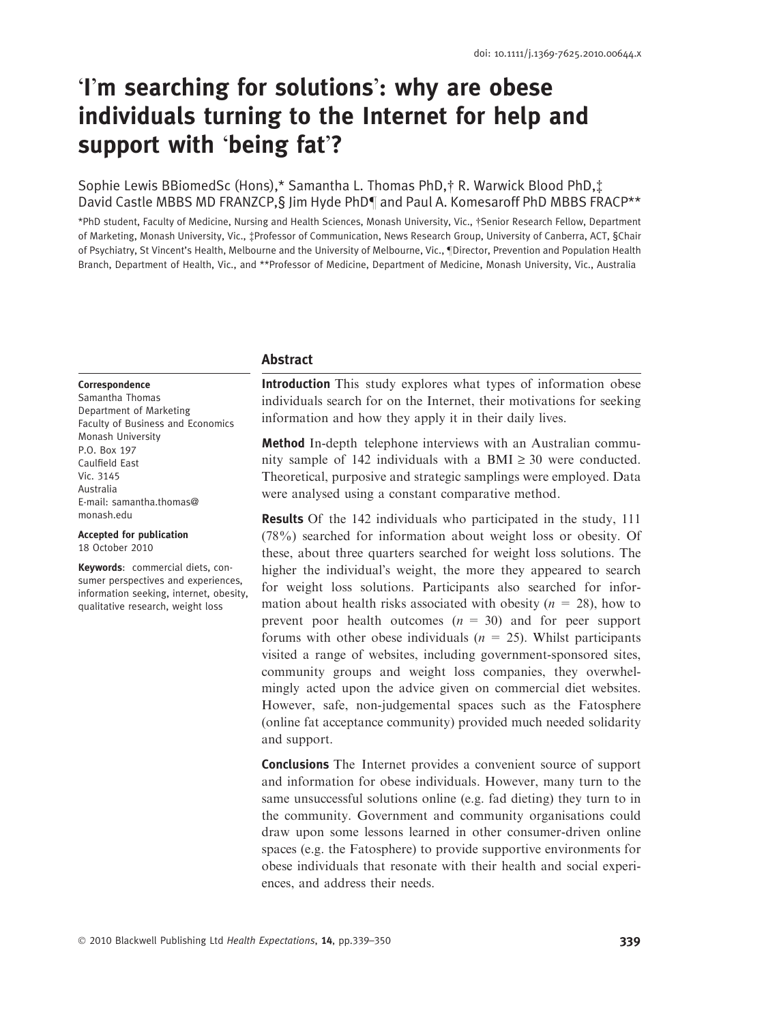# -Im searching for solutions: why are obese individuals turning to the Internet for help and support with 'being fat'?

# Sophie Lewis BBiomedSc (Hons),\* Samantha L. Thomas PhD,† R. Warwick Blood PhD, $\ddagger$ David Castle MBBS MD FRANZCP, § Jim Hyde PhD¶ and Paul A. Komesaroff PhD MBBS FRACP\*\*

\*PhD student, Faculty of Medicine, Nursing and Health Sciences, Monash University, Vic., †Senior Research Fellow, Department of Marketing, Monash University, Vic., ‡Professor of Communication, News Research Group, University of Canberra, ACT, §Chair of Psychiatry, St Vincent's Health, Melbourne and the University of Melbourne, Vic., ¶Director, Prevention and Population Health Branch, Department of Health, Vic., and \*\*Professor of Medicine, Department of Medicine, Monash University, Vic., Australia

## Abstract

#### **Correspondence**

Samantha Thomas Department of Marketing Faculty of Business and Economics Monash University P.O. Box 197 Caulfield East Vic. 3145 Australia E-mail: samantha thomas@ monash.edu

Accepted for publication 18 October 2010

Keywords: commercial diets, consumer perspectives and experiences, information seeking, internet, obesity, qualitative research, weight loss

Introduction This study explores what types of information obese individuals search for on the Internet, their motivations for seeking information and how they apply it in their daily lives.

Method In-depth telephone interviews with an Australian community sample of 142 individuals with a BMI  $\geq$  30 were conducted. Theoretical, purposive and strategic samplings were employed. Data were analysed using a constant comparative method.

Results Of the 142 individuals who participated in the study, 111 (78%) searched for information about weight loss or obesity. Of these, about three quarters searched for weight loss solutions. The higher the individual's weight, the more they appeared to search for weight loss solutions. Participants also searched for information about health risks associated with obesity ( $n = 28$ ), how to prevent poor health outcomes  $(n = 30)$  and for peer support forums with other obese individuals  $(n = 25)$ . Whilst participants visited a range of websites, including government-sponsored sites, community groups and weight loss companies, they overwhelmingly acted upon the advice given on commercial diet websites. However, safe, non-judgemental spaces such as the Fatosphere (online fat acceptance community) provided much needed solidarity and support.

Conclusions The Internet provides a convenient source of support and information for obese individuals. However, many turn to the same unsuccessful solutions online (e.g. fad dieting) they turn to in the community. Government and community organisations could draw upon some lessons learned in other consumer-driven online spaces (e.g. the Fatosphere) to provide supportive environments for obese individuals that resonate with their health and social experiences, and address their needs.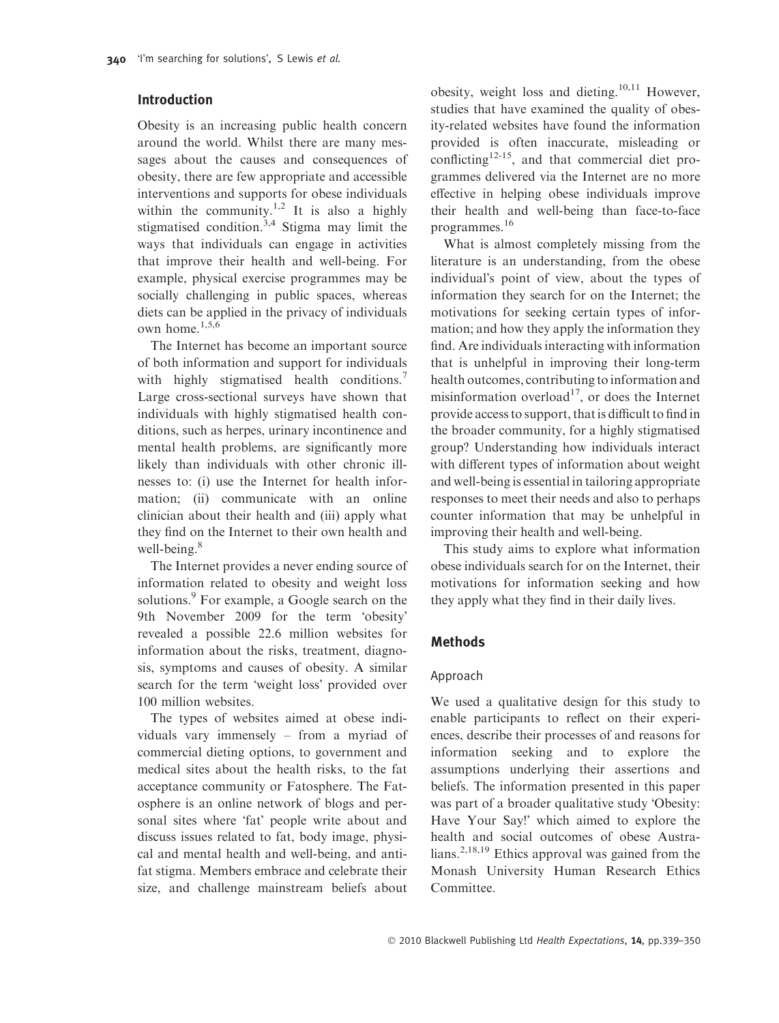# Introduction

Obesity is an increasing public health concern around the world. Whilst there are many messages about the causes and consequences of obesity, there are few appropriate and accessible interventions and supports for obese individuals within the community.<sup>1,2</sup> It is also a highly stigmatised condition.<sup>3,4</sup> Stigma may limit the ways that individuals can engage in activities that improve their health and well-being. For example, physical exercise programmes may be socially challenging in public spaces, whereas diets can be applied in the privacy of individuals own home.1,5,6

The Internet has become an important source of both information and support for individuals with highly stigmatised health conditions.<sup>7</sup> Large cross-sectional surveys have shown that individuals with highly stigmatised health conditions, such as herpes, urinary incontinence and mental health problems, are significantly more likely than individuals with other chronic illnesses to: (i) use the Internet for health information; (ii) communicate with an online clinician about their health and (iii) apply what they find on the Internet to their own health and well-being. $8$ 

The Internet provides a never ending source of information related to obesity and weight loss solutions.<sup>9</sup> For example, a Google search on the 9th November 2009 for the term 'obesity' revealed a possible 22.6 million websites for information about the risks, treatment, diagnosis, symptoms and causes of obesity. A similar search for the term 'weight loss' provided over 100 million websites.

The types of websites aimed at obese individuals vary immensely – from a myriad of commercial dieting options, to government and medical sites about the health risks, to the fat acceptance community or Fatosphere. The Fatosphere is an online network of blogs and personal sites where 'fat' people write about and discuss issues related to fat, body image, physical and mental health and well-being, and antifat stigma. Members embrace and celebrate their size, and challenge mainstream beliefs about

obesity, weight loss and dieting.10,11 However, studies that have examined the quality of obesity-related websites have found the information provided is often inaccurate, misleading or conflicting<sup>12-15</sup>, and that commercial diet programmes delivered via the Internet are no more effective in helping obese individuals improve their health and well-being than face-to-face programmes.<sup>16</sup>

What is almost completely missing from the literature is an understanding, from the obese individual's point of view, about the types of information they search for on the Internet; the motivations for seeking certain types of information; and how they apply the information they find. Are individuals interacting with information that is unhelpful in improving their long-term health outcomes, contributing to information and misinformation overload<sup>17</sup>, or does the Internet provide access to support, that is difficult to find in the broader community, for a highly stigmatised group? Understanding how individuals interact with different types of information about weight and well-being is essential in tailoring appropriate responses to meet their needs and also to perhaps counter information that may be unhelpful in improving their health and well-being.

This study aims to explore what information obese individuals search for on the Internet, their motivations for information seeking and how they apply what they find in their daily lives.

## Methods

## Approach

We used a qualitative design for this study to enable participants to reflect on their experiences, describe their processes of and reasons for information seeking and to explore the assumptions underlying their assertions and beliefs. The information presented in this paper was part of a broader qualitative study 'Obesity: Have Your Say!' which aimed to explore the health and social outcomes of obese Australians.<sup>2,18,19</sup> Ethics approval was gained from the Monash University Human Research Ethics Committee.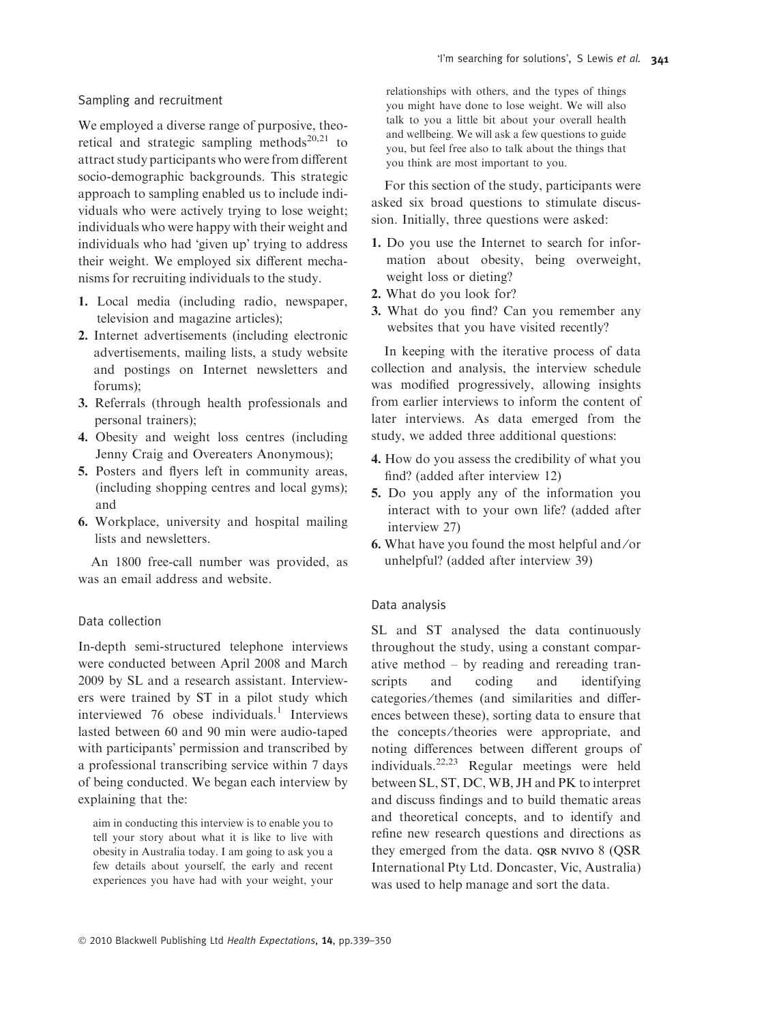## Sampling and recruitment

We employed a diverse range of purposive, theoretical and strategic sampling methods<sup>20,21</sup> to attract study participants who were from different socio-demographic backgrounds. This strategic approach to sampling enabled us to include individuals who were actively trying to lose weight; individuals who were happy with their weight and individuals who had 'given up' trying to address their weight. We employed six different mechanisms for recruiting individuals to the study.

- 1. Local media (including radio, newspaper, television and magazine articles);
- 2. Internet advertisements (including electronic advertisements, mailing lists, a study website and postings on Internet newsletters and forums);
- 3. Referrals (through health professionals and personal trainers);
- 4. Obesity and weight loss centres (including Jenny Craig and Overeaters Anonymous);
- 5. Posters and flyers left in community areas, (including shopping centres and local gyms); and
- 6. Workplace, university and hospital mailing lists and newsletters.

An 1800 free-call number was provided, as was an email address and website.

#### Data collection

In-depth semi-structured telephone interviews were conducted between April 2008 and March 2009 by SL and a research assistant. Interviewers were trained by ST in a pilot study which interviewed  $76$  obese individuals.<sup>1</sup> Interviews lasted between 60 and 90 min were audio-taped with participants' permission and transcribed by a professional transcribing service within 7 days of being conducted. We began each interview by explaining that the:

aim in conducting this interview is to enable you to tell your story about what it is like to live with obesity in Australia today. I am going to ask you a few details about yourself, the early and recent experiences you have had with your weight, your relationships with others, and the types of things you might have done to lose weight. We will also talk to you a little bit about your overall health and wellbeing. We will ask a few questions to guide you, but feel free also to talk about the things that you think are most important to you.

For this section of the study, participants were asked six broad questions to stimulate discussion. Initially, three questions were asked:

- 1. Do you use the Internet to search for information about obesity, being overweight, weight loss or dieting?
- 2. What do you look for?
- 3. What do you find? Can you remember any websites that you have visited recently?

In keeping with the iterative process of data collection and analysis, the interview schedule was modified progressively, allowing insights from earlier interviews to inform the content of later interviews. As data emerged from the study, we added three additional questions:

- 4. How do you assess the credibility of what you find? (added after interview 12)
- 5. Do you apply any of the information you interact with to your own life? (added after interview 27)
- 6. What have you found the most helpful and ⁄ or unhelpful? (added after interview 39)

#### Data analysis

SL and ST analysed the data continuously throughout the study, using a constant comparative method – by reading and rereading transcripts and coding and identifying categories ⁄themes (and similarities and differences between these), sorting data to ensure that the concepts ⁄theories were appropriate, and noting differences between different groups of individuals.22,23 Regular meetings were held between SL, ST, DC, WB, JH and PK to interpret and discuss findings and to build thematic areas and theoretical concepts, and to identify and refine new research questions and directions as they emerged from the data. QSR NVIVO 8 (QSR International Pty Ltd. Doncaster, Vic, Australia) was used to help manage and sort the data.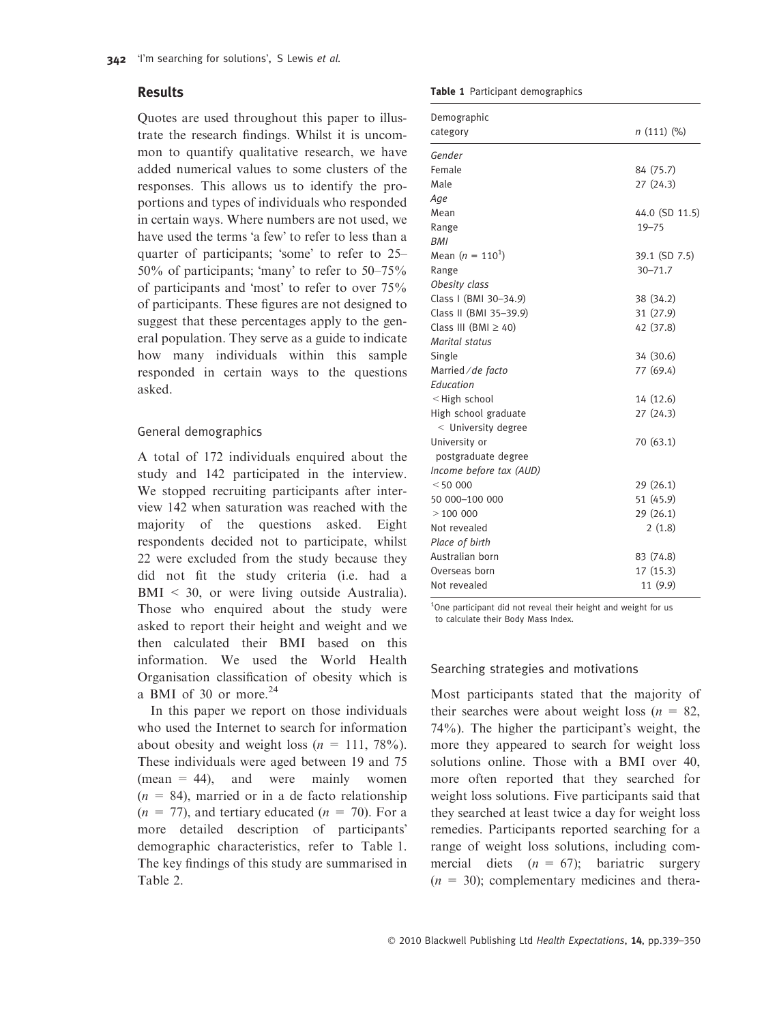## Results

Quotes are used throughout this paper to illustrate the research findings. Whilst it is uncommon to quantify qualitative research, we have added numerical values to some clusters of the responses. This allows us to identify the proportions and types of individuals who responded in certain ways. Where numbers are not used, we have used the terms 'a few' to refer to less than a quarter of participants; 'some' to refer to 25–  $50\%$  of participants; 'many' to refer to  $50-75\%$ of participants and 'most' to refer to over 75% of participants. These figures are not designed to suggest that these percentages apply to the general population. They serve as a guide to indicate how many individuals within this sample responded in certain ways to the questions asked.

## General demographics

A total of 172 individuals enquired about the study and 142 participated in the interview. We stopped recruiting participants after interview 142 when saturation was reached with the majority of the questions asked. Eight respondents decided not to participate, whilst 22 were excluded from the study because they did not fit the study criteria (i.e. had a BMI < 30, or were living outside Australia). Those who enquired about the study were asked to report their height and weight and we then calculated their BMI based on this information. We used the World Health Organisation classification of obesity which is a BMI of 30 or more. $^{24}$ 

In this paper we report on those individuals who used the Internet to search for information about obesity and weight loss  $(n = 111, 78\%)$ . These individuals were aged between 19 and 75  $(mean = 44)$ , and were mainly women  $(n = 84)$ , married or in a de facto relationship  $(n = 77)$ , and tertiary educated  $(n = 70)$ . For a more detailed description of participants demographic characteristics, refer to Table 1. The key findings of this study are summarised in Table 2.

Table 1 Participant demographics

| Demographic                                      |                |
|--------------------------------------------------|----------------|
| category                                         | n(111)(%       |
| Gender                                           |                |
| Female                                           | 84 (75.7)      |
| Male                                             | 27(24.3)       |
| Age                                              |                |
| Mean                                             | 44.0 (SD 11.5) |
| Range                                            | $19 - 75$      |
| <b>BMI</b>                                       |                |
| Mean $(n = 110^1)$                               | 39.1 (SD 7.5)  |
| Range                                            | $30 - 71.7$    |
| Obesity class                                    |                |
| Class I (BMI 30-34.9)                            | 38 (34.2)      |
| Class II (BMI 35-39.9)                           | 31 (27.9)      |
| Class III (BMI $\geq$ 40)                        | 42 (37.8)      |
| Marital status                                   |                |
| Single                                           | 34 (30.6)      |
| Married / de facto                               | 77 (69.4)      |
| Education                                        |                |
| <high school<="" td=""><td>14 (12.6)</td></high> | 14 (12.6)      |
| High school graduate                             | 27(24.3)       |
| $<$ University degree                            |                |
| University or                                    | 70 (63.1)      |
| postgraduate degree                              |                |
| Income before tax (AUD)                          |                |
| < 50000                                          | 29(26.1)       |
| 50 000-100 000                                   | 51 (45.9)      |
| >100000                                          | 29(26.1)       |
| Not revealed                                     | 2(1.8)         |
| Place of birth                                   |                |
| Australian born                                  | 83 (74.8)      |
| Overseas born                                    | 17(15.3)       |
| Not revealed                                     | 11 (9.9)       |

<sup>1</sup>One participant did not reveal their height and weight for us to calculate their Body Mass Index.

#### Searching strategies and motivations

Most participants stated that the majority of their searches were about weight loss ( $n = 82$ ,  $74\%$ ). The higher the participant's weight, the more they appeared to search for weight loss solutions online. Those with a BMI over 40, more often reported that they searched for weight loss solutions. Five participants said that they searched at least twice a day for weight loss remedies. Participants reported searching for a range of weight loss solutions, including commercial diets  $(n = 67)$ ; bariatric surgery  $(n = 30)$ ; complementary medicines and thera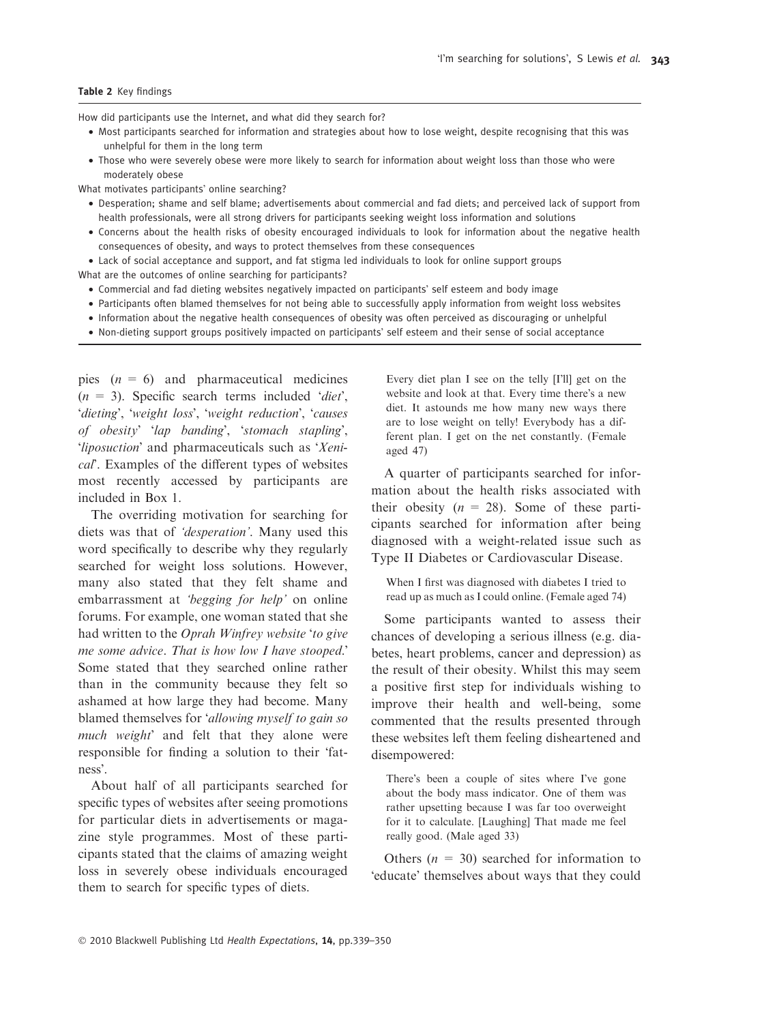How did participants use the Internet, and what did they search for?

- Most participants searched for information and strategies about how to lose weight, despite recognising that this was unhelpful for them in the long term
- Those who were severely obese were more likely to search for information about weight loss than those who were moderately obese

What motivates participants' online searching?

- Desperation; shame and self blame; advertisements about commercial and fad diets; and perceived lack of support from health professionals, were all strong drivers for participants seeking weight loss information and solutions
- Concerns about the health risks of obesity encouraged individuals to look for information about the negative health consequences of obesity, and ways to protect themselves from these consequences

• Lack of social acceptance and support, and fat stigma led individuals to look for online support groups

What are the outcomes of online searching for participants?

- Commercial and fad dieting websites negatively impacted on participants' self esteem and body image
- Participants often blamed themselves for not being able to successfully apply information from weight loss websites
- Information about the negative health consequences of obesity was often perceived as discouraging or unhelpful
- Non-dieting support groups positively impacted on participants' self esteem and their sense of social acceptance

pies  $(n = 6)$  and pharmaceutical medicines  $(n = 3)$ . Specific search terms included 'diet', 'dieting', 'weight loss', 'weight reduction', 'causes of obesity' 'lap banding', 'stomach stapling', 'liposuction' and pharmaceuticals such as 'Xenical<sup>"</sup>. Examples of the different types of websites most recently accessed by participants are included in Box 1.

The overriding motivation for searching for diets was that of 'desperation'. Many used this word specifically to describe why they regularly searched for weight loss solutions. However, many also stated that they felt shame and embarrassment at 'begging for help' on online forums. For example, one woman stated that she had written to the *Oprah Winfrey website 'to give* me some advice. That is how low I have stooped.' Some stated that they searched online rather than in the community because they felt so ashamed at how large they had become. Many blamed themselves for 'allowing myself to gain so much weight' and felt that they alone were responsible for finding a solution to their 'fatness<sup>2</sup>.

About half of all participants searched for specific types of websites after seeing promotions for particular diets in advertisements or magazine style programmes. Most of these participants stated that the claims of amazing weight loss in severely obese individuals encouraged them to search for specific types of diets.

Every diet plan I see on the telly [I'll] get on the website and look at that. Every time there's a new diet. It astounds me how many new ways there are to lose weight on telly! Everybody has a different plan. I get on the net constantly. (Female aged 47)

A quarter of participants searched for information about the health risks associated with their obesity  $(n = 28)$ . Some of these participants searched for information after being diagnosed with a weight-related issue such as Type II Diabetes or Cardiovascular Disease.

When I first was diagnosed with diabetes I tried to read up as much as I could online. (Female aged 74)

Some participants wanted to assess their chances of developing a serious illness (e.g. diabetes, heart problems, cancer and depression) as the result of their obesity. Whilst this may seem a positive first step for individuals wishing to improve their health and well-being, some commented that the results presented through these websites left them feeling disheartened and disempowered:

There's been a couple of sites where I've gone about the body mass indicator. One of them was rather upsetting because I was far too overweight for it to calculate. [Laughing] That made me feel really good. (Male aged 33)

Others ( $n = 30$ ) searched for information to 'educate' themselves about ways that they could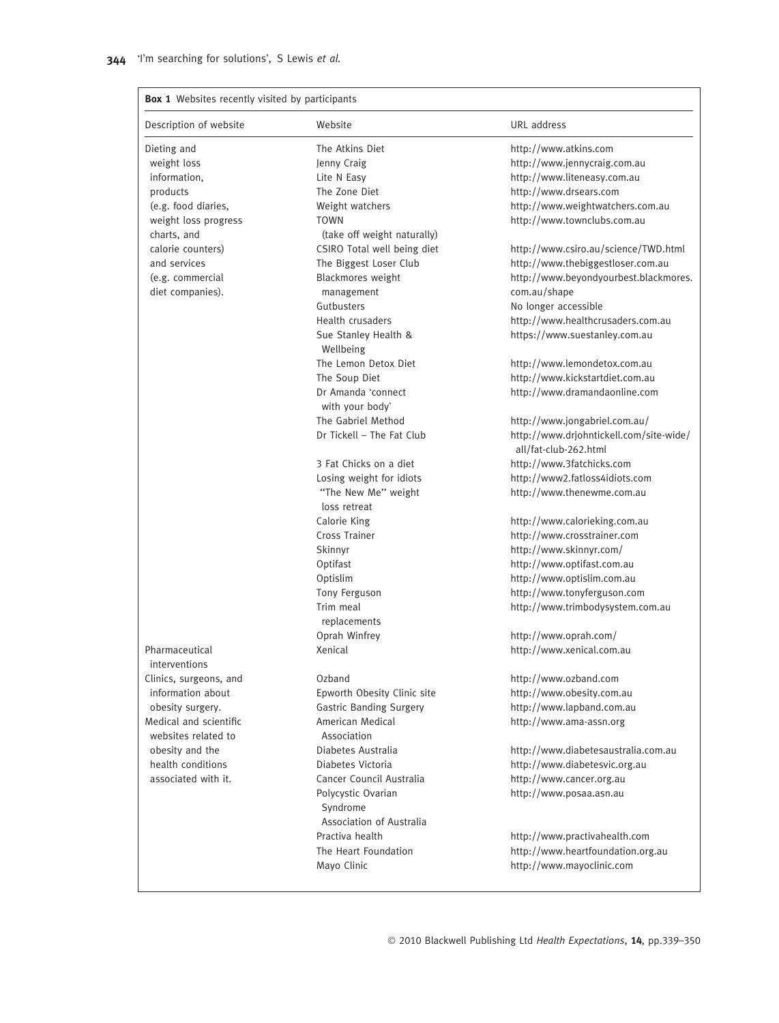| Description of website          | Website                           | URL address                                                      |
|---------------------------------|-----------------------------------|------------------------------------------------------------------|
| Dieting and                     | The Atkins Diet                   | http://www.atkins.com                                            |
| weight loss                     | Jenny Craig                       | http://www.jennycraig.com.au                                     |
| information,                    | Lite N Easy                       | http://www.liteneasy.com.au                                      |
| products                        | The Zone Diet                     | http://www.drsears.com                                           |
| (e.g. food diaries,             | Weight watchers                   | http://www.weightwatchers.com.au                                 |
| weight loss progress            | <b>TOWN</b>                       | http://www.townclubs.com.au                                      |
| charts, and                     | (take off weight naturally)       |                                                                  |
| calorie counters)               | CSIRO Total well being diet       | http://www.csiro.au/science/TWD.html                             |
| and services                    | The Biggest Loser Club            | http://www.thebiggestloser.com.au                                |
| (e.g. commercial                | Blackmores weight                 | http://www.beyondyourbest.blackmores.                            |
| diet companies).                | management                        | com.au/shape                                                     |
|                                 | Gutbusters                        | No longer accessible                                             |
|                                 | Health crusaders                  | http://www.healthcrusaders.com.au                                |
|                                 | Sue Stanley Health &<br>Wellbeing | https://www.suestanley.com.au                                    |
|                                 | The Lemon Detox Diet              | http://www.lemondetox.com.au                                     |
|                                 | The Soup Diet                     | http://www.kickstartdiet.com.au                                  |
|                                 | Dr Amanda 'connect                | http://www.dramandaonline.com                                    |
|                                 | with your body'                   |                                                                  |
|                                 | The Gabriel Method                | http://www.jongabriel.com.au/                                    |
|                                 | Dr Tickell - The Fat Club         | http://www.drjohntickell.com/site-wide/<br>all/fat-club-262.html |
|                                 | 3 Fat Chicks on a diet            | http://www.3fatchicks.com                                        |
|                                 | Losing weight for idiots          | http://www2.fatloss4idiots.com                                   |
|                                 | "The New Me" weight               | http://www.thenewme.com.au                                       |
|                                 | loss retreat                      |                                                                  |
|                                 | Calorie King                      | http://www.calorieking.com.au                                    |
|                                 | Cross Trainer                     | http://www.crosstrainer.com                                      |
|                                 | Skinnyr                           | http://www.skinnyr.com/                                          |
|                                 | Optifast                          | http://www.optifast.com.au                                       |
|                                 | Optislim                          | http://www.optislim.com.au                                       |
|                                 | Tony Ferguson                     | http://www.tonyferguson.com                                      |
|                                 | Trim meal                         | http://www.trimbodysystem.com.au                                 |
|                                 | replacements                      |                                                                  |
|                                 | Oprah Winfrey                     | http://www.oprah.com/                                            |
| Pharmaceutical<br>interventions | Xenical                           | http://www.xenical.com.au                                        |
| Clinics, surgeons, and          | Ozband                            | http://www.ozband.com                                            |
| information about               | Epworth Obesity Clinic site       | http://www.obesity.com.au                                        |
| obesity surgery.                | <b>Gastric Banding Surgery</b>    | http://www.lapband.com.au                                        |
| Medical and scientific          | American Medical                  | http://www.ama-assn.org                                          |
| websites related to             | Association                       |                                                                  |
| obesity and the                 | Diabetes Australia                | http://www.diabetesaustralia.com.au                              |
| health conditions               | Diabetes Victoria                 | http://www.diabetesvic.org.au                                    |
| associated with it.             | Cancer Council Australia          | http://www.cancer.org.au                                         |
|                                 | Polycystic Ovarian<br>Syndrome    | http://www.posaa.asn.au                                          |
|                                 | Association of Australia          |                                                                  |
|                                 | Practiva health                   | http://www.practivahealth.com                                    |
|                                 | The Heart Foundation              | http://www.heartfoundation.org.au                                |
|                                 | Mayo Clinic                       | http://www.mayoclinic.com                                        |

© 2010 Blackwell Publishing Ltd Health Expectations, 14, pp.339-350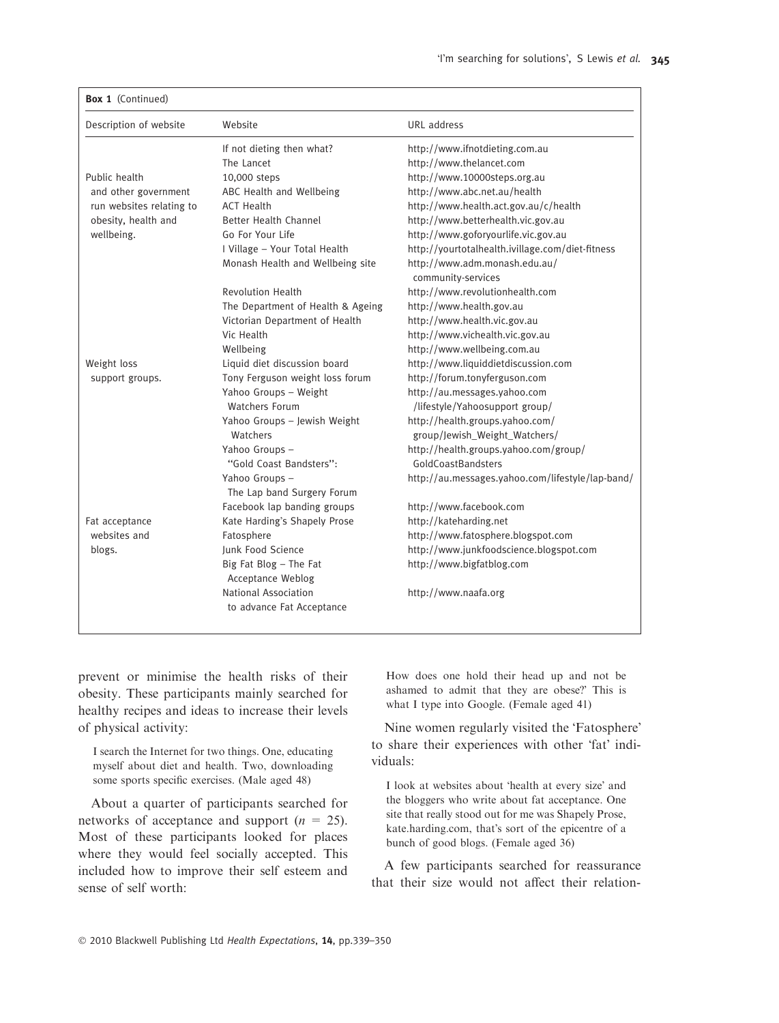| Description of website   | Website                                  | URL address                                                      |
|--------------------------|------------------------------------------|------------------------------------------------------------------|
|                          | If not dieting then what?                | http://www.ifnotdieting.com.au                                   |
|                          | The Lancet                               | http://www.thelancet.com                                         |
| Public health            | 10,000 steps                             | http://www.10000steps.org.au                                     |
| and other government     | ABC Health and Wellbeing                 | http://www.abc.net.au/health                                     |
| run websites relating to | <b>ACT Health</b>                        | http://www.health.act.gov.au/c/health                            |
| obesity, health and      | Better Health Channel                    | http://www.betterhealth.vic.gov.au                               |
| wellbeing.               | Go For Your Life                         | http://www.goforyourlife.vic.gov.au                              |
|                          | I Village - Your Total Health            | http://yourtotalhealth.ivillage.com/diet-fitness                 |
|                          | Monash Health and Wellbeing site         | http://www.adm.monash.edu.au/<br>community-services              |
|                          | <b>Revolution Health</b>                 | http://www.revolutionhealth.com                                  |
|                          | The Department of Health & Ageing        | http://www.health.gov.au                                         |
|                          | Victorian Department of Health           | http://www.health.vic.gov.au                                     |
|                          | Vic Health                               | http://www.vichealth.vic.gov.au                                  |
|                          | Wellbeing                                | http://www.wellbeing.com.au                                      |
| Weight loss              | Liquid diet discussion board             | http://www.liquiddietdiscussion.com                              |
| support groups.          | Tony Ferguson weight loss forum          | http://forum.tonyferguson.com                                    |
|                          | Yahoo Groups - Weight                    | http://au.messages.yahoo.com                                     |
|                          | Watchers Forum                           | /lifestyle/Yahoosupport group/                                   |
|                          | Yahoo Groups - Jewish Weight<br>Watchers | http://health.groups.yahoo.com/<br>group/Jewish_Weight_Watchers/ |
|                          | Yahoo Groups -                           | http://health.groups.yahoo.com/group/                            |
|                          | "Gold Coast Bandsters":                  | GoldCoastBandsters                                               |
|                          | Yahoo Groups -                           | http://au.messages.yahoo.com/lifestyle/lap-band/                 |
|                          | The Lap band Surgery Forum               |                                                                  |
|                          | Facebook lap banding groups              | http://www.facebook.com                                          |
| Fat acceptance           | Kate Harding's Shapely Prose             | http://kateharding.net                                           |
| websites and             | Fatosphere                               | http://www.fatosphere.blogspot.com                               |
| blogs.                   | <b>Junk Food Science</b>                 | http://www.junkfoodscience.blogspot.com                          |
|                          | Big Fat Blog $-$ The Fat                 | http://www.bigfatblog.com                                        |
|                          | Acceptance Weblog                        |                                                                  |
|                          | National Association                     | http://www.naafa.org                                             |
|                          | to advance Fat Acceptance                |                                                                  |

prevent or minimise the health risks of their obesity. These participants mainly searched for healthy recipes and ideas to increase their levels of physical activity:

I search the Internet for two things. One, educating myself about diet and health. Two, downloading some sports specific exercises. (Male aged 48)

About a quarter of participants searched for networks of acceptance and support  $(n = 25)$ . Most of these participants looked for places where they would feel socially accepted. This included how to improve their self esteem and sense of self worth:

How does one hold their head up and not be ashamed to admit that they are obese? This is what I type into Google. (Female aged 41)

Nine women regularly visited the 'Fatosphere' to share their experiences with other 'fat' individuals:

I look at websites about 'health at every size' and the bloggers who write about fat acceptance. One site that really stood out for me was Shapely Prose, kate.harding.com, that's sort of the epicentre of a bunch of good blogs. (Female aged 36)

A few participants searched for reassurance that their size would not affect their relation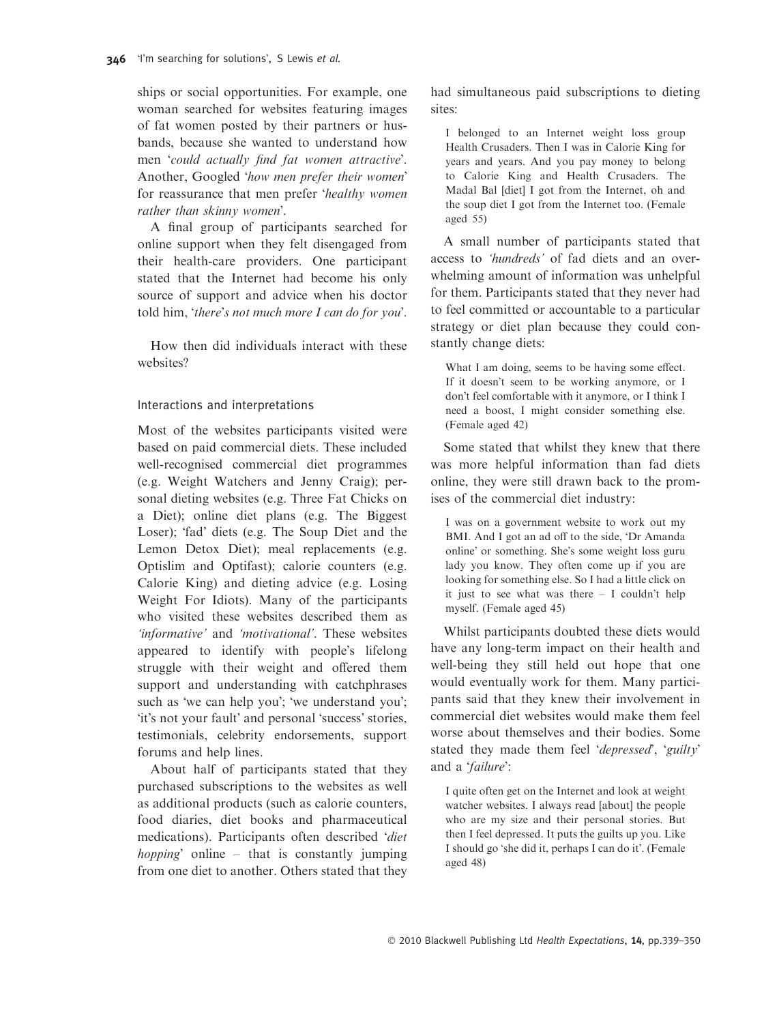ships or social opportunities. For example, one woman searched for websites featuring images of fat women posted by their partners or husbands, because she wanted to understand how men *'could actually find fat women attractive*'. Another, Googled *'how men prefer their women*' for reassurance that men prefer 'healthy women rather than skinny women'.

A final group of participants searched for online support when they felt disengaged from their health-care providers. One participant stated that the Internet had become his only source of support and advice when his doctor told him, 'there's not much more I can do for you'.

How then did individuals interact with these websites?

## Interactions and interpretations

Most of the websites participants visited were based on paid commercial diets. These included well-recognised commercial diet programmes (e.g. Weight Watchers and Jenny Craig); personal dieting websites (e.g. Three Fat Chicks on a Diet); online diet plans (e.g. The Biggest Loser); 'fad' diets (e.g. The Soup Diet and the Lemon Detox Diet); meal replacements (e.g. Optislim and Optifast); calorie counters (e.g. Calorie King) and dieting advice (e.g. Losing Weight For Idiots). Many of the participants who visited these websites described them as 'informative' and 'motivational'. These websites appeared to identify with people's lifelong struggle with their weight and offered them support and understanding with catchphrases such as 'we can help you'; 'we understand you'; 'it's not your fault' and personal 'success' stories, testimonials, celebrity endorsements, support forums and help lines.

About half of participants stated that they purchased subscriptions to the websites as well as additional products (such as calorie counters, food diaries, diet books and pharmaceutical medications). Participants often described 'diet *hopping* online – that is constantly jumping from one diet to another. Others stated that they had simultaneous paid subscriptions to dieting sites:

I belonged to an Internet weight loss group Health Crusaders. Then I was in Calorie King for years and years. And you pay money to belong to Calorie King and Health Crusaders. The Madal Bal [diet] I got from the Internet, oh and the soup diet I got from the Internet too. (Female aged 55)

A small number of participants stated that access to 'hundreds' of fad diets and an overwhelming amount of information was unhelpful for them. Participants stated that they never had to feel committed or accountable to a particular strategy or diet plan because they could constantly change diets:

What I am doing, seems to be having some effect. If it doesn't seem to be working anymore, or I don't feel comfortable with it anymore, or I think I need a boost, I might consider something else. (Female aged 42)

Some stated that whilst they knew that there was more helpful information than fad diets online, they were still drawn back to the promises of the commercial diet industry:

I was on a government website to work out my BMI. And I got an ad off to the side, 'Dr Amanda online' or something. She's some weight loss guru lady you know. They often come up if you are looking for something else. So I had a little click on it just to see what was there  $- I$  couldn't help myself. (Female aged 45)

Whilst participants doubted these diets would have any long-term impact on their health and well-being they still held out hope that one would eventually work for them. Many participants said that they knew their involvement in commercial diet websites would make them feel worse about themselves and their bodies. Some stated they made them feel 'depressed', 'guilty' and a 'failure':

I quite often get on the Internet and look at weight watcher websites. I always read [about] the people who are my size and their personal stories. But then I feel depressed. It puts the guilts up you. Like I should go 'she did it, perhaps I can do it'. (Female aged 48)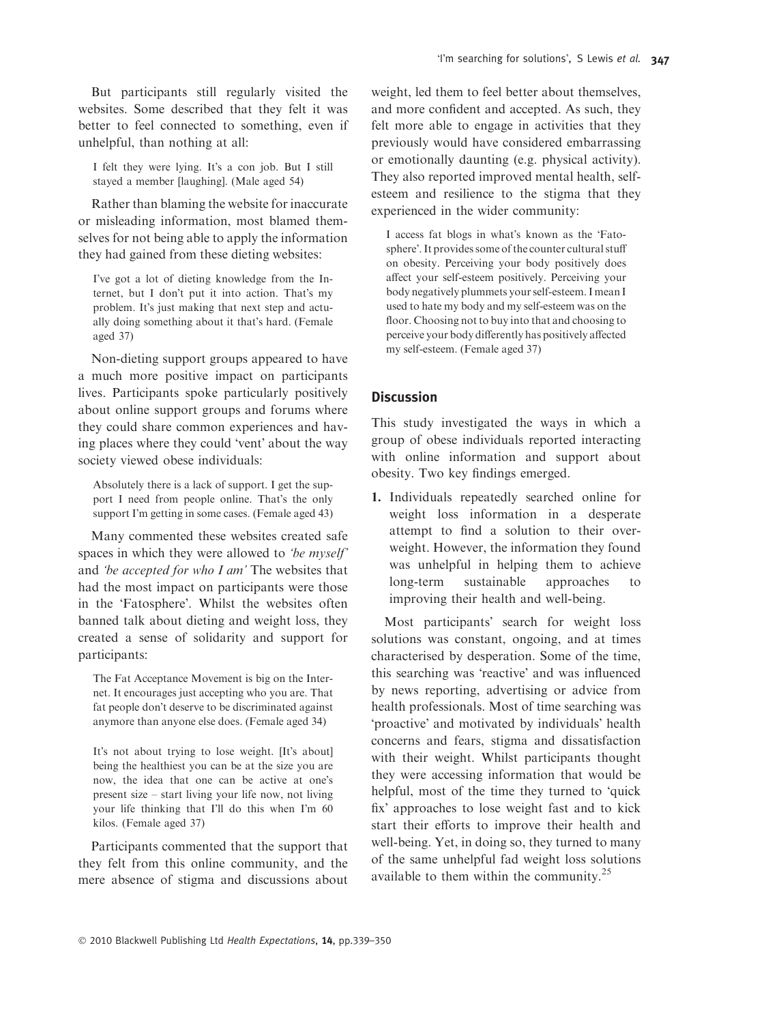But participants still regularly visited the websites. Some described that they felt it was better to feel connected to something, even if unhelpful, than nothing at all:

I felt they were lying. It's a con job. But I still stayed a member [laughing]. (Male aged 54)

Rather than blaming the website for inaccurate or misleading information, most blamed themselves for not being able to apply the information they had gained from these dieting websites:

Ive got a lot of dieting knowledge from the Internet, but I don't put it into action. That's my problem. It's just making that next step and actually doing something about it that's hard. (Female aged 37)

Non-dieting support groups appeared to have a much more positive impact on participants lives. Participants spoke particularly positively about online support groups and forums where they could share common experiences and having places where they could 'vent' about the way society viewed obese individuals:

Absolutely there is a lack of support. I get the support I need from people online. That's the only support I'm getting in some cases. (Female aged 43)

Many commented these websites created safe spaces in which they were allowed to 'be myself' and 'be accepted for who I am' The websites that had the most impact on participants were those in the 'Fatosphere'. Whilst the websites often banned talk about dieting and weight loss, they created a sense of solidarity and support for participants:

The Fat Acceptance Movement is big on the Internet. It encourages just accepting who you are. That fat people don't deserve to be discriminated against anymore than anyone else does. (Female aged 34)

It's not about trying to lose weight. [It's about] being the healthiest you can be at the size you are now, the idea that one can be active at one's present size – start living your life now, not living your life thinking that I'll do this when I'm 60 kilos. (Female aged 37)

Participants commented that the support that they felt from this online community, and the mere absence of stigma and discussions about weight, led them to feel better about themselves, and more confident and accepted. As such, they felt more able to engage in activities that they previously would have considered embarrassing or emotionally daunting (e.g. physical activity). They also reported improved mental health, selfesteem and resilience to the stigma that they experienced in the wider community:

I access fat blogs in what's known as the 'Fatosphere'. It provides some of the counter cultural stuff on obesity. Perceiving your body positively does affect your self-esteem positively. Perceiving your body negatively plummets your self-esteem. I mean I used to hate my body and my self-esteem was on the floor. Choosing not to buy into that and choosing to perceive your body differently has positively affected my self-esteem. (Female aged 37)

# **Discussion**

This study investigated the ways in which a group of obese individuals reported interacting with online information and support about obesity. Two key findings emerged.

1. Individuals repeatedly searched online for weight loss information in a desperate attempt to find a solution to their overweight. However, the information they found was unhelpful in helping them to achieve long-term sustainable approaches to improving their health and well-being.

Most participants' search for weight loss solutions was constant, ongoing, and at times characterised by desperation. Some of the time, this searching was 'reactive' and was influenced by news reporting, advertising or advice from health professionals. Most of time searching was 'proactive' and motivated by individuals' health concerns and fears, stigma and dissatisfaction with their weight. Whilst participants thought they were accessing information that would be helpful, most of the time they turned to 'quick fix' approaches to lose weight fast and to kick start their efforts to improve their health and well-being. Yet, in doing so, they turned to many of the same unhelpful fad weight loss solutions available to them within the community.<sup>25</sup>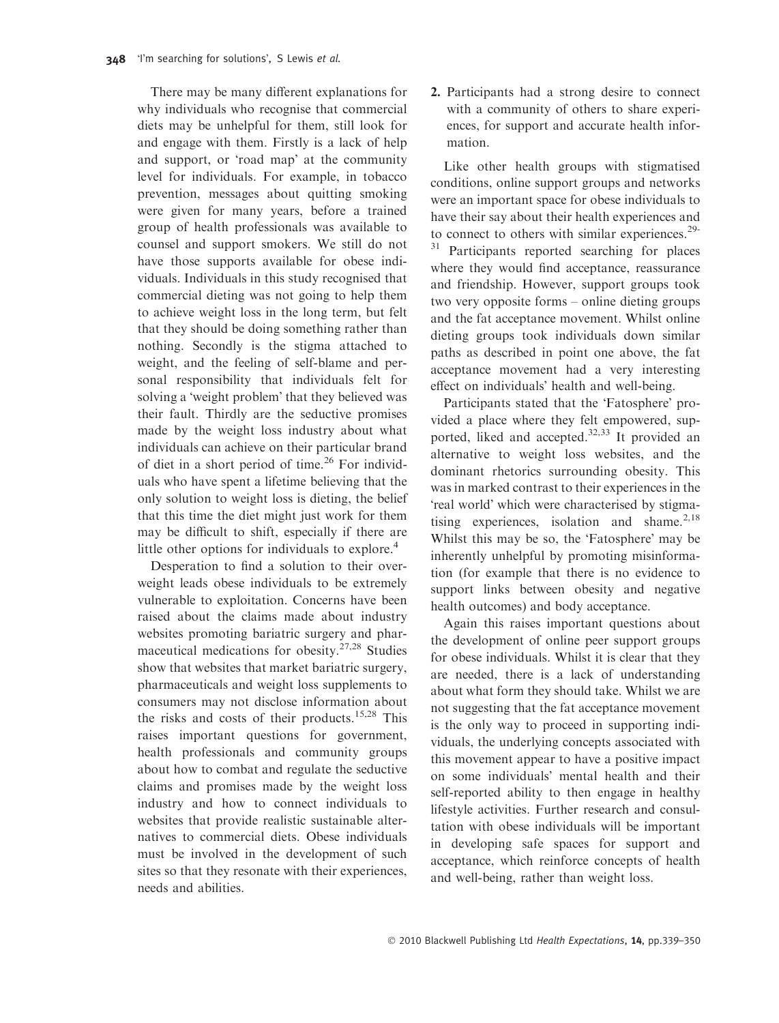There may be many different explanations for why individuals who recognise that commercial diets may be unhelpful for them, still look for and engage with them. Firstly is a lack of help and support, or 'road map' at the community level for individuals. For example, in tobacco prevention, messages about quitting smoking were given for many years, before a trained group of health professionals was available to counsel and support smokers. We still do not have those supports available for obese individuals. Individuals in this study recognised that commercial dieting was not going to help them to achieve weight loss in the long term, but felt that they should be doing something rather than nothing. Secondly is the stigma attached to weight, and the feeling of self-blame and personal responsibility that individuals felt for solving a 'weight problem' that they believed was their fault. Thirdly are the seductive promises made by the weight loss industry about what individuals can achieve on their particular brand of diet in a short period of time.<sup>26</sup> For individuals who have spent a lifetime believing that the only solution to weight loss is dieting, the belief that this time the diet might just work for them may be difficult to shift, especially if there are little other options for individuals to explore.<sup>4</sup>

Desperation to find a solution to their overweight leads obese individuals to be extremely vulnerable to exploitation. Concerns have been raised about the claims made about industry websites promoting bariatric surgery and pharmaceutical medications for obesity.27,28 Studies show that websites that market bariatric surgery, pharmaceuticals and weight loss supplements to consumers may not disclose information about the risks and costs of their products.<sup>15,28</sup> This raises important questions for government, health professionals and community groups about how to combat and regulate the seductive claims and promises made by the weight loss industry and how to connect individuals to websites that provide realistic sustainable alternatives to commercial diets. Obese individuals must be involved in the development of such sites so that they resonate with their experiences, needs and abilities.

2. Participants had a strong desire to connect with a community of others to share experiences, for support and accurate health information.

Like other health groups with stigmatised conditions, online support groups and networks were an important space for obese individuals to have their say about their health experiences and to connect to others with similar experiences.<sup>29-</sup> <sup>31</sup> Participants reported searching for places where they would find acceptance, reassurance and friendship. However, support groups took two very opposite forms – online dieting groups and the fat acceptance movement. Whilst online dieting groups took individuals down similar paths as described in point one above, the fat acceptance movement had a very interesting effect on individuals' health and well-being.

Participants stated that the 'Fatosphere' provided a place where they felt empowered, supported, liked and accepted.<sup>32,33</sup> It provided an alternative to weight loss websites, and the dominant rhetorics surrounding obesity. This was in marked contrast to their experiences in the 'real world' which were characterised by stigmatising experiences, isolation and shame. $2,18$ Whilst this may be so, the 'Fatosphere' may be inherently unhelpful by promoting misinformation (for example that there is no evidence to support links between obesity and negative health outcomes) and body acceptance.

Again this raises important questions about the development of online peer support groups for obese individuals. Whilst it is clear that they are needed, there is a lack of understanding about what form they should take. Whilst we are not suggesting that the fat acceptance movement is the only way to proceed in supporting individuals, the underlying concepts associated with this movement appear to have a positive impact on some individuals' mental health and their self-reported ability to then engage in healthy lifestyle activities. Further research and consultation with obese individuals will be important in developing safe spaces for support and acceptance, which reinforce concepts of health and well-being, rather than weight loss.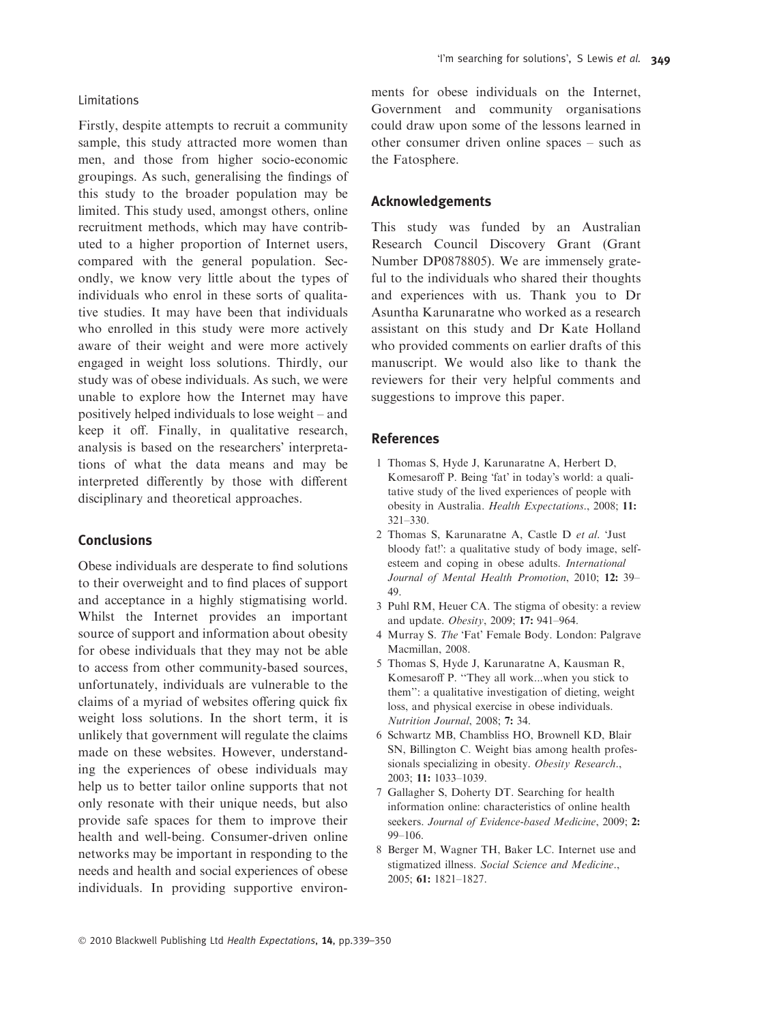## Limitations

Firstly, despite attempts to recruit a community sample, this study attracted more women than men, and those from higher socio-economic groupings. As such, generalising the findings of this study to the broader population may be limited. This study used, amongst others, online recruitment methods, which may have contributed to a higher proportion of Internet users, compared with the general population. Secondly, we know very little about the types of individuals who enrol in these sorts of qualitative studies. It may have been that individuals who enrolled in this study were more actively aware of their weight and were more actively engaged in weight loss solutions. Thirdly, our study was of obese individuals. As such, we were unable to explore how the Internet may have positively helped individuals to lose weight – and keep it off. Finally, in qualitative research, analysis is based on the researchers' interpretations of what the data means and may be interpreted differently by those with different disciplinary and theoretical approaches.

# Conclusions

Obese individuals are desperate to find solutions to their overweight and to find places of support and acceptance in a highly stigmatising world. Whilst the Internet provides an important source of support and information about obesity for obese individuals that they may not be able to access from other community-based sources, unfortunately, individuals are vulnerable to the claims of a myriad of websites offering quick fix weight loss solutions. In the short term, it is unlikely that government will regulate the claims made on these websites. However, understanding the experiences of obese individuals may help us to better tailor online supports that not only resonate with their unique needs, but also provide safe spaces for them to improve their health and well-being. Consumer-driven online networks may be important in responding to the needs and health and social experiences of obese individuals. In providing supportive environments for obese individuals on the Internet, Government and community organisations could draw upon some of the lessons learned in other consumer driven online spaces – such as the Fatosphere.

## Acknowledgements

This study was funded by an Australian Research Council Discovery Grant (Grant Number DP0878805). We are immensely grateful to the individuals who shared their thoughts and experiences with us. Thank you to Dr Asuntha Karunaratne who worked as a research assistant on this study and Dr Kate Holland who provided comments on earlier drafts of this manuscript. We would also like to thank the reviewers for their very helpful comments and suggestions to improve this paper.

## References

- 1 Thomas S, Hyde J, Karunaratne A, Herbert D, Komesaroff P. Being 'fat' in today's world: a qualitative study of the lived experiences of people with obesity in Australia. Health Expectations., 2008; 11: 321–330.
- 2 Thomas S, Karunaratne A, Castle D et al. 'Just bloody fat!': a qualitative study of body image, selfesteem and coping in obese adults. International Journal of Mental Health Promotion, 2010; 12: 39– 49.
- 3 Puhl RM, Heuer CA. The stigma of obesity: a review and update. Obesity, 2009; 17: 941–964.
- 4 Murray S. The 'Fat' Female Body. London: Palgrave Macmillan, 2008.
- 5 Thomas S, Hyde J, Karunaratne A, Kausman R, Komesaroff P. ''They all work...when you stick to them'': a qualitative investigation of dieting, weight loss, and physical exercise in obese individuals. Nutrition Journal, 2008; 7: 34.
- 6 Schwartz MB, Chambliss HO, Brownell KD, Blair SN, Billington C. Weight bias among health professionals specializing in obesity. Obesity Research., 2003; 11: 1033–1039.
- 7 Gallagher S, Doherty DT. Searching for health information online: characteristics of online health seekers. Journal of Evidence-based Medicine, 2009; 2: 99–106.
- 8 Berger M, Wagner TH, Baker LC. Internet use and stigmatized illness. Social Science and Medicine., 2005; 61: 1821–1827.